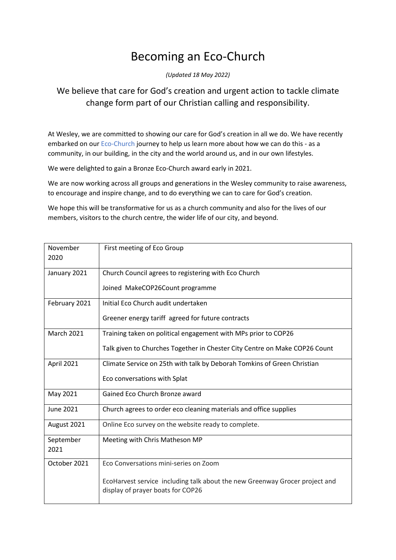## Becoming an Eco-Church

*(Updated 18 May 2022)*

## We believe that care for God's creation and urgent action to tackle climate change form part of our Christian calling and responsibility.

At Wesley, we are committed to showing our care for God's creation in all we do. We have recently embarked on our Eco-Church journey to help us learn more about how we can do this - as a community, in our building, in the city and the world around us, and in our own lifestyles.

We were delighted to gain a Bronze Eco-Church award early in 2021.

We are now working across all groups and generations in the Wesley community to raise awareness, to encourage and inspire change, and to do everything we can to care for God's creation.

We hope this will be transformative for us as a church community and also for the lives of our members, visitors to the church centre, the wider life of our city, and beyond.

| November<br>2020  | First meeting of Eco Group                                                                                       |
|-------------------|------------------------------------------------------------------------------------------------------------------|
| January 2021      | Church Council agrees to registering with Eco Church                                                             |
|                   | Joined MakeCOP26Count programme                                                                                  |
| February 2021     | Initial Eco Church audit undertaken                                                                              |
|                   | Greener energy tariff agreed for future contracts                                                                |
| <b>March 2021</b> | Training taken on political engagement with MPs prior to COP26                                                   |
|                   | Talk given to Churches Together in Chester City Centre on Make COP26 Count                                       |
| April 2021        | Climate Service on 25th with talk by Deborah Tomkins of Green Christian                                          |
|                   | Eco conversations with Splat                                                                                     |
| May 2021          | Gained Eco Church Bronze award                                                                                   |
| <b>June 2021</b>  | Church agrees to order eco cleaning materials and office supplies                                                |
| August 2021       | Online Eco survey on the website ready to complete.                                                              |
| September<br>2021 | Meeting with Chris Matheson MP                                                                                   |
| October 2021      | Eco Conversations mini-series on Zoom                                                                            |
|                   | EcoHarvest service including talk about the new Greenway Grocer project and<br>display of prayer boats for COP26 |